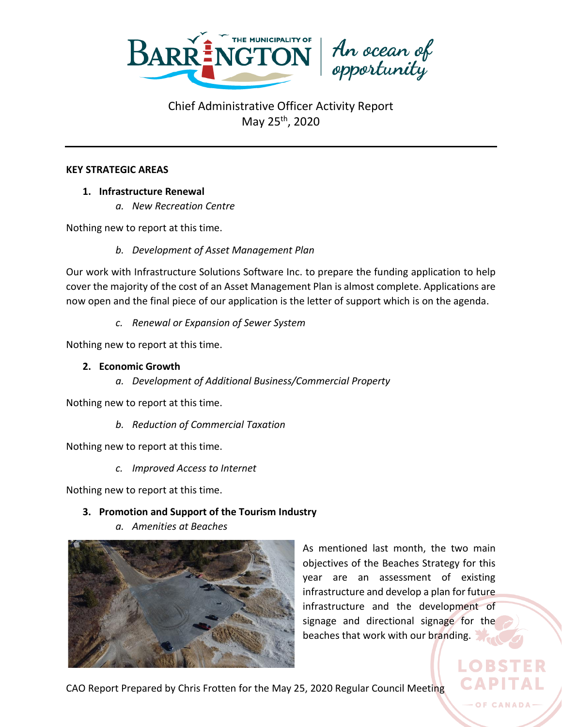

#### **KEY STRATEGIC AREAS**

- **1. Infrastructure Renewal**
	- *a. New Recreation Centre*

Nothing new to report at this time.

*b. Development of Asset Management Plan*

Our work with Infrastructure Solutions Software Inc. to prepare the funding application to help cover the majority of the cost of an Asset Management Plan is almost complete. Applications are now open and the final piece of our application is the letter of support which is on the agenda.

*c. Renewal or Expansion of Sewer System*

Nothing new to report at this time.

#### **2. Economic Growth**

*a. Development of Additional Business/Commercial Property*

Nothing new to report at this time.

*b. Reduction of Commercial Taxation*

Nothing new to report at this time.

*c. Improved Access to Internet*

Nothing new to report at this time.

### **3. Promotion and Support of the Tourism Industry**

*a. Amenities at Beaches*



As mentioned last month, the two main objectives of the Beaches Strategy for this year are an assessment of existing infrastructure and develop a plan for future infrastructure and the development of signage and directional signage for the beaches that work with our branding.

CAO Report Prepared by Chris Frotten for the May 25, 2020 Regular Council Meeting

LOBST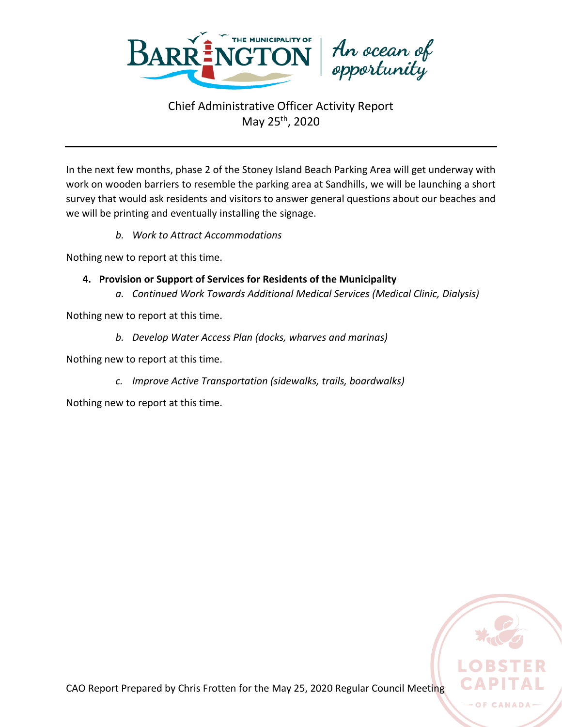

In the next few months, phase 2 of the Stoney Island Beach Parking Area will get underway with work on wooden barriers to resemble the parking area at Sandhills, we will be launching a short survey that would ask residents and visitors to answer general questions about our beaches and we will be printing and eventually installing the signage.

*b. Work to Attract Accommodations*

Nothing new to report at this time.

- **4. Provision or Support of Services for Residents of the Municipality**
	- *a. Continued Work Towards Additional Medical Services (Medical Clinic, Dialysis)*

Nothing new to report at this time.

*b. Develop Water Access Plan (docks, wharves and marinas)*

Nothing new to report at this time.

*c. Improve Active Transportation (sidewalks, trails, boardwalks)*

Nothing new to report at this time.

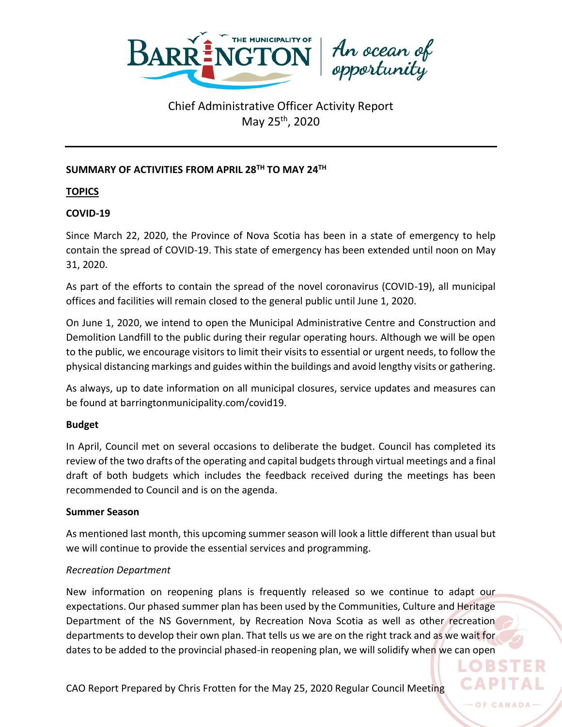

### **SUMMARY OF ACTIVITIES FROM APRIL 28TH TO MAY 24 TH**

**TOPICS**

### **COVID-19**

Since March 22, 2020, the Province of Nova Scotia has been in a state of emergency to help contain the spread of COVID-19. This state of emergency has been extended until noon on May 31, 2020.

As part of the efforts to contain the spread of the novel coronavirus (COVID-19), all municipal offices and facilities will remain closed to the general public until June 1, 2020.

On June 1, 2020, we intend to open the Municipal Administrative Centre and Construction and Demolition Landfill to the public during their regular operating hours. Although we will be open to the public, we encourage visitors to limit their visits to essential or urgent needs, to follow the physical distancing markings and guides within the buildings and avoid lengthy visits or gathering.

As always, up to date information on all municipal closures, service updates and measures can be found at barringtonmunicipality.com/covid19.

### **Budget**

In April, Council met on several occasions to deliberate the budget. Council has completed its review of the two drafts of the operating and capital budgets through virtual meetings and a final draft of both budgets which includes the feedback received during the meetings has been recommended to Council and is on the agenda.

### **Summer Season**

As mentioned last month, this upcoming summer season will look a little different than usual but we will continue to provide the essential services and programming.

### *Recreation Department*

New information on reopening plans is frequently released so we continue to adapt our expectations. Our phased summer plan has been used by the Communities, Culture and Heritage Department of the NS Government, by Recreation Nova Scotia as well as other recreation departments to develop their own plan. That tells us we are on the right track and as we wait for dates to be added to the provincial phased-in reopening plan, we will solidify when we can open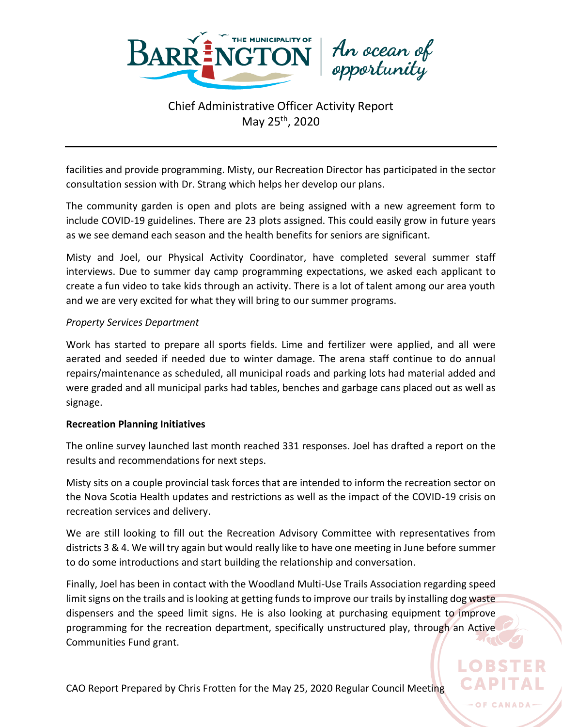

facilities and provide programming. Misty, our Recreation Director has participated in the sector consultation session with Dr. Strang which helps her develop our plans.

The community garden is open and plots are being assigned with a new agreement form to include COVID-19 guidelines. There are 23 plots assigned. This could easily grow in future years as we see demand each season and the health benefits for seniors are significant.

Misty and Joel, our Physical Activity Coordinator, have completed several summer staff interviews. Due to summer day camp programming expectations, we asked each applicant to create a fun video to take kids through an activity. There is a lot of talent among our area youth and we are very excited for what they will bring to our summer programs.

#### *Property Services Department*

Work has started to prepare all sports fields. Lime and fertilizer were applied, and all were aerated and seeded if needed due to winter damage. The arena staff continue to do annual repairs/maintenance as scheduled, all municipal roads and parking lots had material added and were graded and all municipal parks had tables, benches and garbage cans placed out as well as signage.

#### **Recreation Planning Initiatives**

The online survey launched last month reached 331 responses. Joel has drafted a report on the results and recommendations for next steps.

Misty sits on a couple provincial task forces that are intended to inform the recreation sector on the Nova Scotia Health updates and restrictions as well as the impact of the COVID-19 crisis on recreation services and delivery.

We are still looking to fill out the Recreation Advisory Committee with representatives from districts 3 & 4. We will try again but would really like to have one meeting in June before summer to do some introductions and start building the relationship and conversation.

Finally, Joel has been in contact with the Woodland Multi-Use Trails Association regarding speed limit signs on the trails and is looking at getting funds to improve our trails by installing dog waste dispensers and the speed limit signs. He is also looking at purchasing equipment to improve programming for the recreation department, specifically unstructured play, through an Active Communities Fund grant.

OF CANADA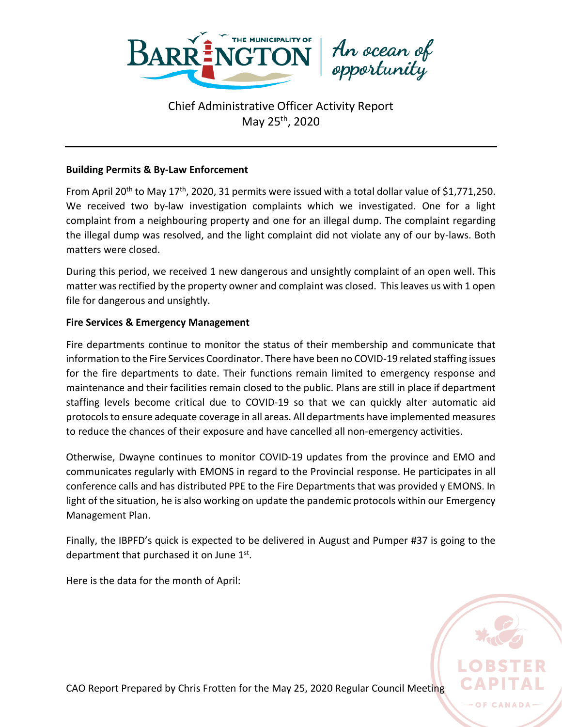

#### **Building Permits & By-Law Enforcement**

From April 20<sup>th</sup> to May 17<sup>th</sup>, 2020, 31 permits were issued with a total dollar value of \$1,771,250. We received two by-law investigation complaints which we investigated. One for a light complaint from a neighbouring property and one for an illegal dump. The complaint regarding the illegal dump was resolved, and the light complaint did not violate any of our by-laws. Both matters were closed.

During this period, we received 1 new dangerous and unsightly complaint of an open well. This matter was rectified by the property owner and complaint was closed. This leaves us with 1 open file for dangerous and unsightly.

#### **Fire Services & Emergency Management**

Fire departments continue to monitor the status of their membership and communicate that information to the Fire Services Coordinator. There have been no COVID-19 related staffing issues for the fire departments to date. Their functions remain limited to emergency response and maintenance and their facilities remain closed to the public. Plans are still in place if department staffing levels become critical due to COVID-19 so that we can quickly alter automatic aid protocols to ensure adequate coverage in all areas. All departments have implemented measures to reduce the chances of their exposure and have cancelled all non-emergency activities.

Otherwise, Dwayne continues to monitor COVID-19 updates from the province and EMO and communicates regularly with EMONS in regard to the Provincial response. He participates in all conference calls and has distributed PPE to the Fire Departments that was provided y EMONS. In light of the situation, he is also working on update the pandemic protocols within our Emergency Management Plan.

Finally, the IBPFD's quick is expected to be delivered in August and Pumper #37 is going to the department that purchased it on June  $1<sup>st</sup>$ .

Here is the data for the month of April:



CAO Report Prepared by Chris Frotten for the May 25, 2020 Regular Council Meeting